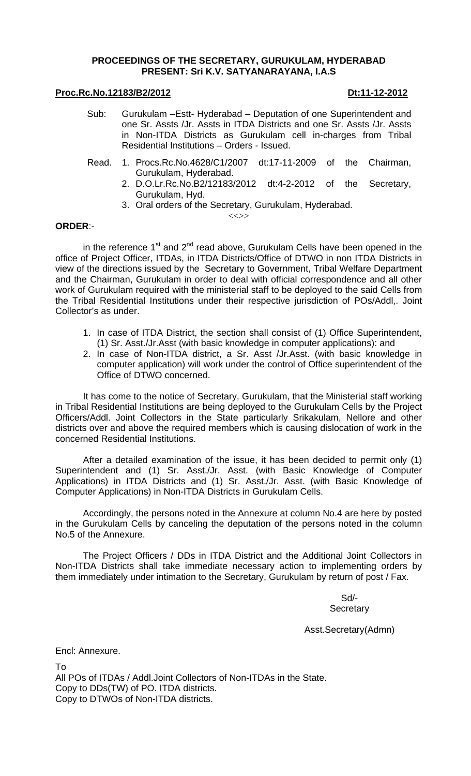# **PROCEEDINGS OF THE SECRETARY, GURUKULAM, HYDERABAD PRESENT: Sri K.V. SATYANARAYANA, I.A.S**

## **Proc.Rc.No.12183/B2/2012 Dt:11-12-2012**

- Sub: Gurukulam –Estt- Hyderabad Deputation of one Superintendent and one Sr. Assts /Jr. Assts in ITDA Districts and one Sr. Assts /Jr. Assts in Non-ITDA Districts as Gurukulam cell in-charges from Tribal Residential Institutions – Orders - Issued.
- Read. 1. Procs.Rc.No.4628/C1/2007 dt:17-11-2009 of the Chairman, Gurukulam, Hyderabad.
	- 2. D.O.Lr.Rc.No.B2/12183/2012 dt:4-2-2012 of the Secretary, Gurukulam, Hyd.
	- 3. Oral orders of the Secretary, Gurukulam, Hyderabad.

 $\left\langle \left\langle \right\rangle \right\rangle$ 

### **ORDER**:-

in the reference  $1<sup>st</sup>$  and  $2<sup>nd</sup>$  read above, Gurukulam Cells have been opened in the office of Project Officer, ITDAs, in ITDA Districts/Office of DTWO in non ITDA Districts in view of the directions issued by the Secretary to Government, Tribal Welfare Department and the Chairman, Gurukulam in order to deal with official correspondence and all other work of Gurukulam required with the ministerial staff to be deployed to the said Cells from the Tribal Residential Institutions under their respective jurisdiction of POs/Addl,. Joint Collector's as under.

- 1. In case of ITDA District, the section shall consist of (1) Office Superintendent, (1) Sr. Asst./Jr.Asst (with basic knowledge in computer applications): and
- 2. In case of Non-ITDA district, a Sr. Asst /Jr.Asst. (with basic knowledge in computer application) will work under the control of Office superintendent of the Office of DTWO concerned.

It has come to the notice of Secretary, Gurukulam, that the Ministerial staff working in Tribal Residential Institutions are being deployed to the Gurukulam Cells by the Project Officers/Addl. Joint Collectors in the State particularly Srikakulam, Nellore and other districts over and above the required members which is causing dislocation of work in the concerned Residential Institutions.

After a detailed examination of the issue, it has been decided to permit only (1) Superintendent and (1) Sr. Asst./Jr. Asst. (with Basic Knowledge of Computer Applications) in ITDA Districts and (1) Sr. Asst./Jr. Asst. (with Basic Knowledge of Computer Applications) in Non-ITDA Districts in Gurukulam Cells.

Accordingly, the persons noted in the Annexure at column No.4 are here by posted in the Gurukulam Cells by canceling the deputation of the persons noted in the column No.5 of the Annexure.

The Project Officers / DDs in ITDA District and the Additional Joint Collectors in Non-ITDA Districts shall take immediate necessary action to implementing orders by them immediately under intimation to the Secretary, Gurukulam by return of post / Fax.

> Sd/- **Secretary**

Asst.Secretary(Admn)

Encl: Annexure.

To All POs of ITDAs / Addl.Joint Collectors of Non-ITDAs in the State. Copy to DDs(TW) of PO. ITDA districts. Copy to DTWOs of Non-ITDA districts.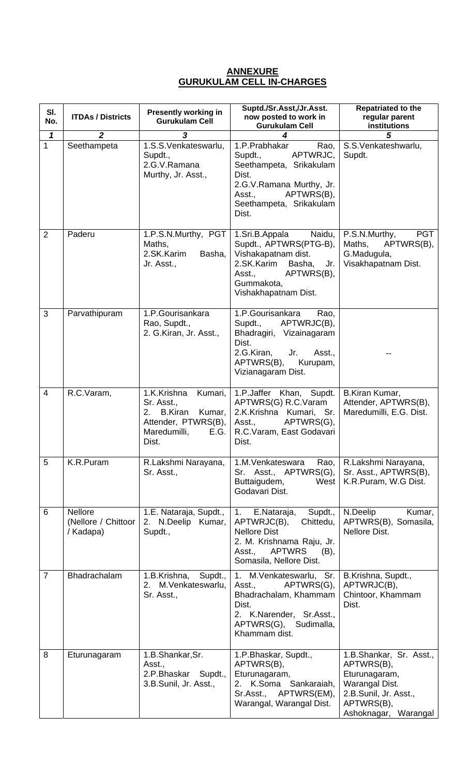# **ANNEXURE GURUKULAM CELL IN-CHARGES**

| SI.<br>No.                 | <b>ITDAs / Districts</b>                    | <b>Presently working in</b><br><b>Gurukulam Cell</b>                                                                           | Suptd./Sr.Asst,/Jr.Asst.<br>now posted to work in<br><b>Gurukulam Cell</b>                                                                                                 | <b>Repatriated to the</b><br>regular parent<br>institutions                                                                             |
|----------------------------|---------------------------------------------|--------------------------------------------------------------------------------------------------------------------------------|----------------------------------------------------------------------------------------------------------------------------------------------------------------------------|-----------------------------------------------------------------------------------------------------------------------------------------|
| $\boldsymbol{\mathcal{L}}$ | $\overline{2}$                              | 3                                                                                                                              | 4                                                                                                                                                                          | 5                                                                                                                                       |
| $\mathbf{1}$               | Seethampeta                                 | 1.S.S. Venkateswarlu,<br>Supdt.,<br>2.G.V.Ramana<br>Murthy, Jr. Asst.,                                                         | 1.P.Prabhakar<br>Rao,<br>Supdt.,<br>APTWRJC,<br>Seethampeta, Srikakulam<br>Dist.<br>2.G.V.Ramana Murthy, Jr.<br>APTWRS(B),<br>Asst.,<br>Seethampeta, Srikakulam<br>Dist.   | S.S.Venkateshwarlu,<br>Supdt.                                                                                                           |
| $\overline{2}$             | Paderu                                      | 1.P.S.N.Murthy, PGT<br>Maths,<br>2.SK.Karim<br>Basha,<br>Jr. Asst.,                                                            | 1.Sri.B.Appala<br>Naidu,<br>Supdt., APTWRS(PTG-B),<br>Vishakapatnam dist.<br>2.SK.Karim<br>Basha,<br>Jr.<br>APTWRS(B),<br>Asst.,<br>Gummakota,<br>Vishakhapatnam Dist.     | P.S.N.Murthy,<br><b>PGT</b><br>APTWRS(B),<br>Maths,<br>G.Madugula,<br>Visakhapatnam Dist.                                               |
| 3                          | Parvathipuram                               | 1.P.Gourisankara<br>Rao, Supdt.,<br>2. G.Kiran, Jr. Asst.,                                                                     | 1.P.Gourisankara<br>Rao,<br>Supdt.,<br>APTWRJC(B),<br>Bhadragiri, Vizainagaram<br>Dist.<br>2.G.Kiran,<br>Jr.<br>Asst.,<br>APTWRS(B),<br>Kurupam,<br>Vizianagaram Dist.     |                                                                                                                                         |
| $\overline{4}$             | R.C.Varam,                                  | 1.K.Krishna<br>Kumari,<br>Sr. Asst.,<br><b>B.Kiran</b><br>2.<br>Kumar,<br>Attender, PTWRS(B),<br>Maredumilli,<br>E.G.<br>Dist. | 1.P.Jaffer Khan, Supdt.<br>APTWRS(G) R.C.Varam<br>2.K.Krishna Kumari, Sr.<br>APTWRS(G),<br>Asst.,<br>R.C.Varam, East Godavari<br>Dist.                                     | B.Kiran Kumar,<br>Attender, APTWRS(B),<br>Maredumilli, E.G. Dist.                                                                       |
| 5                          | K.R.Puram                                   | R.Lakshmi Narayana,<br>Sr. Asst.,                                                                                              | 1.M.Venkateswara<br>Rao,<br>Sr. Asst., APTWRS(G),<br>Buttaigudem,<br>West<br>Godavari Dist.                                                                                | R.Lakshmi Narayana,<br>Sr. Asst., APTWRS(B),<br>K.R.Puram, W.G Dist.                                                                    |
| 6                          | Nellore<br>(Nellore / Chittoor<br>/ Kadapa) | 1.E. Nataraja, Supdt.,<br>2. N.Deelip Kumar,<br>Supdt.,                                                                        | Supdt.,<br>1.<br>E.Nataraja,<br>Chittedu,<br>APTWRJC(B),<br><b>Nellore Dist</b><br>2. M. Krishnama Raju, Jr.<br><b>APTWRS</b><br>Asst.,<br>(B),<br>Somasila, Nellore Dist. | N.Deelip<br>Kumar,<br>APTWRS(B), Somasila,<br>Nellore Dist.                                                                             |
| $\overline{7}$             | Bhadrachalam                                | Supdt.,<br>1.B.Krishna,<br>2.<br>M.Venkateswarlu,<br>Sr. Asst.,                                                                | 1. M. Venkateswarlu, Sr.<br>APTWRS(G),<br>Asst.,<br>Bhadrachalam, Khammam<br>Dist.<br>2. K.Narender, Sr.Asst.,<br>APTWRS(G), Sudimalla,<br>Khammam dist.                   | B.Krishna, Supdt.,<br>APTWRJC(B),<br>Chintoor, Khammam<br>Dist.                                                                         |
| 8                          | Eturunagaram                                | 1.B.Shankar, Sr.<br>Asst.,<br>2.P.Bhaskar Supdt.,<br>3.B.Sunil, Jr. Asst.,                                                     | 1.P.Bhaskar, Supdt.,<br>APTWRS(B),<br>Eturunagaram,<br>K.Soma<br>Sankaraiah,<br>2 <sup>1</sup><br>APTWRS(EM),<br>Sr.Asst.,<br>Warangal, Warangal Dist.                     | 1.B.Shankar, Sr. Asst.,<br>APTWRS(B),<br>Eturunagaram,<br>Warangal Dist.<br>2.B.Sunil, Jr. Asst.,<br>APTWRS(B),<br>Ashoknagar, Warangal |